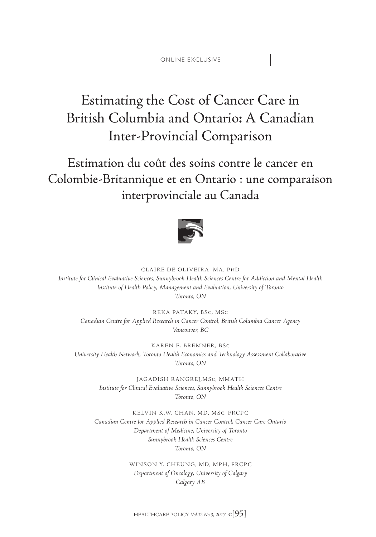#### ONLINE EXCLUSIVE

# Estimating the Cost of Cancer Care in British Columbia and Ontario: A Canadian Inter-Provincial Comparison

Estimation du coût des soins contre le cancer en Colombie-Britannique et en Ontario : une comparaison interprovinciale au Canada



CLAIRE DE OLIVEIRA, MA, PHD *Institute for Clinical Evaluative Sciences, Sunnybrook Health Sciences Centre for Addiction and Mental Health Institute of Health Policy, Management and Evaluation, University of Toronto Toronto, ON*

REKA PATAKY, BSC, MSC *Canadian Centre for Applied Research in Cancer Control, British Columbia Cancer Agency Vancouver, BC*

KAREN E. BREMNER, BSC *University Health Network, Toronto Health Economics and Technology Assessment Collaborative Toronto, ON*

> JAGADISH RANGREJ,MSC, MMATH *Institute for Clinical Evaluative Sciences, Sunnybrook Health Sciences Centre Toronto, ON*

KELVIN K.W. CHAN, MD, MSc, FRCPC *Canadian Centre for Applied Research in Cancer Control, Cancer Care Ontario Department of Medicine, University of Toronto Sunnybrook Health Sciences Centre Toronto, ON*

> WINSON Y. CHEUNG, MD, MPH, FRCPC *Department of Oncology, University of Calgary Calgary AB*

HEALTHCARE POLICY *Vol.12 No.3, 2017* e[95]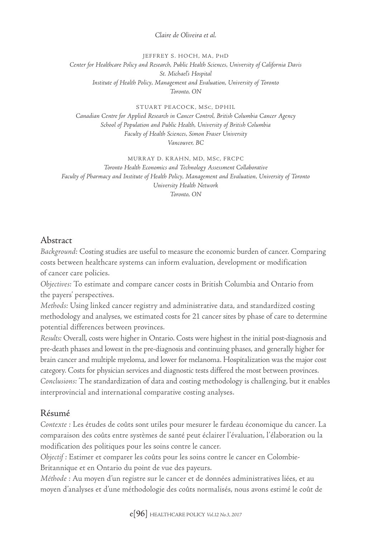#### *Claire de Oliveira et al.*

JEFFREY S. HOCH, MA, PHD

*Center for Healthcare Policy and Research, Public Health Sciences, University of California Davis St. Michael's Hospital Institute of Health Policy, Management and Evaluation, University of Toronto Toronto, ON*

STUART PEACOCK, MSC, DPHIL

*Canadian Centre for Applied Research in Cancer Control, British Columbia Cancer Agency School of Population and Public Health, University of British Columbia Faculty of Health Sciences, Simon Fraser University Vancouver, BC*

MURRAY D. KRAHN, MD, MSc, FRCPC *Toronto Health Economics and Technology Assessment Collaborative Faculty of Pharmacy and Institute of Health Policy, Management and Evaluation, University of Toronto University Health Network Toronto, ON*

## Abstract

*Background:* Costing studies are useful to measure the economic burden of cancer. Comparing costs between healthcare systems can inform evaluation, development or modification of cancer care policies.

*Objectives:* To estimate and compare cancer costs in British Columbia and Ontario from the payers' perspectives.

*Methods:* Using linked cancer registry and administrative data, and standardized costing methodology and analyses, we estimated costs for 21 cancer sites by phase of care to determine potential differences between provinces.

*Results:* Overall, costs were higher in Ontario. Costs were highest in the initial post-diagnosis and pre-death phases and lowest in the pre-diagnosis and continuing phases, and generally higher for brain cancer and multiple myeloma, and lower for melanoma. Hospitalization was the major cost category. Costs for physician services and diagnostic tests differed the most between provinces. *Conclusions:* The standardization of data and costing methodology is challenging, but it enables interprovincial and international comparative costing analyses.

## Résumé

*Contexte :* Les études de coûts sont utiles pour mesurer le fardeau économique du cancer. La comparaison des coûts entre systèmes de santé peut éclairer l'évaluation, l'élaboration ou la modification des politiques pour les soins contre le cancer.

*Objectif :* Estimer et comparer les coûts pour les soins contre le cancer en Colombie-Britannique et en Ontario du point de vue des payeurs.

*Méthode :* Au moyen d'un registre sur le cancer et de données administratives liées, et au moyen d'analyses et d'une méthodologie des coûts normalisés, nous avons estimé le coût de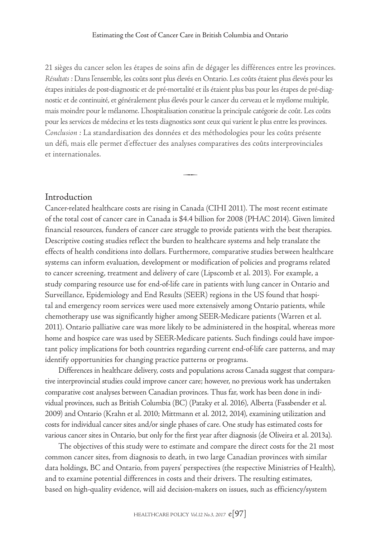21 sièges du cancer selon les étapes de soins afin de dégager les différences entre les provinces. *Résultats :* Dans l'ensemble, les coûts sont plus élevés en Ontario. Les coûts étaient plus élevés pour les étapes initiales de post-diagnostic et de pré-mortalité et ils étaient plus bas pour les étapes de pré-diagnostic et de continuité, et généralement plus élevés pour le cancer du cerveau et le myélome multiple, mais moindre pour le mélanome. L'hospitalisation constitue la principale catégorie de coût. Les coûts pour les services de médecins et les tests diagnostics sont ceux qui varient le plus entre les provinces. *Conclusion :* La standardisation des données et des méthodologies pour les coûts présente un défi, mais elle permet d'effectuer des analyses comparatives des coûts interprovinciales et internationales.

 $\rightarrow$ 

#### Introduction

Cancer-related healthcare costs are rising in Canada (CIHI 2011). The most recent estimate of the total cost of cancer care in Canada is \$4.4 billion for 2008 (PHAC 2014). Given limited financial resources, funders of cancer care struggle to provide patients with the best therapies. Descriptive costing studies reflect the burden to healthcare systems and help translate the effects of health conditions into dollars. Furthermore, comparative studies between healthcare systems can inform evaluation, development or modification of policies and programs related to cancer screening, treatment and delivery of care (Lipscomb et al. 2013). For example, a study comparing resource use for end-of-life care in patients with lung cancer in Ontario and Surveillance, Epidemiology and End Results (SEER) regions in the US found that hospital and emergency room services were used more extensively among Ontario patients, while chemotherapy use was significantly higher among SEER-Medicare patients (Warren et al. 2011). Ontario palliative care was more likely to be administered in the hospital, whereas more home and hospice care was used by SEER-Medicare patients. Such findings could have important policy implications for both countries regarding current end-of-life care patterns, and may identify opportunities for changing practice patterns or programs.

Differences in healthcare delivery, costs and populations across Canada suggest that comparative interprovincial studies could improve cancer care; however, no previous work has undertaken comparative cost analyses between Canadian provinces. Thus far, work has been done in individual provinces, such as British Columbia (BC) (Pataky et al. 2016), Alberta (Fassbender et al. 2009) and Ontario (Krahn et al. 2010; Mittmann et al. 2012, 2014), examining utilization and costs for individual cancer sites and/or single phases of care. One study has estimated costs for various cancer sites in Ontario, but only for the first year after diagnosis (de Oliveira et al. 2013a).

The objectives of this study were to estimate and compare the direct costs for the 21 most common cancer sites, from diagnosis to death, in two large Canadian provinces with similar data holdings, BC and Ontario, from payers' perspectives (the respective Ministries of Health), and to examine potential differences in costs and their drivers. The resulting estimates, based on high-quality evidence, will aid decision-makers on issues, such as efficiency/system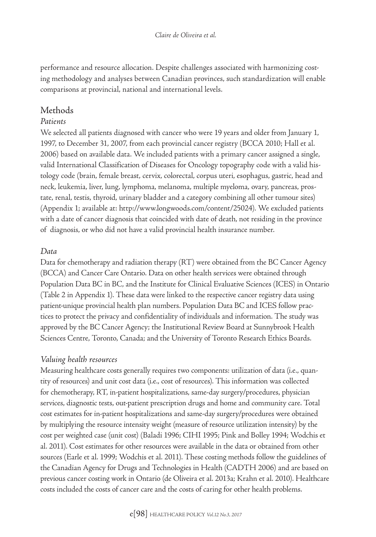performance and resource allocation. Despite challenges associated with harmonizing costing methodology and analyses between Canadian provinces, such standardization will enable comparisons at provincial, national and international levels.

# Methods

#### *Patients*

We selected all patients diagnosed with cancer who were 19 years and older from January 1, 1997, to December 31, 2007, from each provincial cancer registry (BCCA 2010; Hall et al. 2006) based on available data. We included patients with a primary cancer assigned a single, valid International Classification of Diseases for Oncology topography code with a valid histology code (brain, female breast, cervix, colorectal, corpus uteri, esophagus, gastric, head and neck, leukemia, liver, lung, lymphoma, melanoma, multiple myeloma, ovary, pancreas, prostate, renal, testis, thyroid, urinary bladder and a category combining all other tumour sites) (Appendix 1; available at: [http://www.longwoods.com/content/25024\)](http://www.longwoods.com/content/25024). We excluded patients with a date of cancer diagnosis that coincided with date of death, not residing in the province of diagnosis, or who did not have a valid provincial health insurance number.

## *Data*

Data for chemotherapy and radiation therapy (RT) were obtained from the BC Cancer Agency (BCCA) and Cancer Care Ontario. Data on other health services were obtained through Population Data BC in BC, and the Institute for Clinical Evaluative Sciences (ICES) in Ontario (Table 2 in Appendix 1). These data were linked to the respective cancer registry data using patient-unique provincial health plan numbers. Population Data BC and ICES follow practices to protect the privacy and confidentiality of individuals and information. The study was approved by the BC Cancer Agency; the Institutional Review Board at Sunnybrook Health Sciences Centre, Toronto, Canada; and the University of Toronto Research Ethics Boards.

## *Valuing health resources*

Measuring healthcare costs generally requires two components: utilization of data (i.e., quantity of resources) and unit cost data (i.e., cost of resources). This information was collected for chemotherapy, RT, in-patient hospitalizations, same-day surgery/procedures, physician services, diagnostic tests, out-patient prescription drugs and home and community care. Total cost estimates for in-patient hospitalizations and same-day surgery/procedures were obtained by multiplying the resource intensity weight (measure of resource utilization intensity) by the cost per weighted case (unit cost) (Baladi 1996; CIHI 1995; Pink and Bolley 1994; Wodchis et al. 2011). Cost estimates for other resources were available in the data or obtained from other sources (Earle et al. 1999; Wodchis et al. 2011). These costing methods follow the guidelines of the Canadian Agency for Drugs and Technologies in Health (CADTH 2006) and are based on previous cancer costing work in Ontario (de Oliveira et al. 2013a; Krahn et al. 2010). Healthcare costs included the costs of cancer care and the costs of caring for other health problems.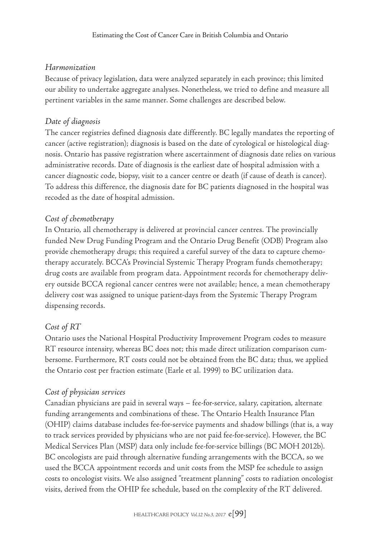## *Harmonization*

Because of privacy legislation, data were analyzed separately in each province; this limited our ability to undertake aggregate analyses. Nonetheless, we tried to define and measure all pertinent variables in the same manner. Some challenges are described below.

## *Date of diagnosis*

The cancer registries defined diagnosis date differently. BC legally mandates the reporting of cancer (active registration); diagnosis is based on the date of cytological or histological diagnosis. Ontario has passive registration where ascertainment of diagnosis date relies on various administrative records. Date of diagnosis is the earliest date of hospital admission with a cancer diagnostic code, biopsy, visit to a cancer centre or death (if cause of death is cancer). To address this difference, the diagnosis date for BC patients diagnosed in the hospital was recoded as the date of hospital admission.

## *Cost of chemotherapy*

In Ontario, all chemotherapy is delivered at provincial cancer centres. The provincially funded New Drug Funding Program and the Ontario Drug Benefit (ODB) Program also provide chemotherapy drugs; this required a careful survey of the data to capture chemotherapy accurately. BCCA's Provincial Systemic Therapy Program funds chemotherapy; drug costs are available from program data. Appointment records for chemotherapy delivery outside BCCA regional cancer centres were not available; hence, a mean chemotherapy delivery cost was assigned to unique patient-days from the Systemic Therapy Program dispensing records.

# *Cost of RT*

Ontario uses the National Hospital Productivity Improvement Program codes to measure RT resource intensity, whereas BC does not; this made direct utilization comparison cumbersome. Furthermore, RT costs could not be obtained from the BC data; thus, we applied the Ontario cost per fraction estimate (Earle et al. 1999) to BC utilization data.

## *Cost of physician services*

Canadian physicians are paid in several ways – fee-for-service, salary, capitation, alternate funding arrangements and combinations of these. The Ontario Health Insurance Plan (OHIP) claims database includes fee-for-service payments and shadow billings (that is, a way to track services provided by physicians who are not paid fee-for-service). However, the BC Medical Services Plan (MSP) data only include fee-for-service billings (BC MOH 2012b). BC oncologists are paid through alternative funding arrangements with the BCCA, so we used the BCCA appointment records and unit costs from the MSP fee schedule to assign costs to oncologist visits. We also assigned "treatment planning" costs to radiation oncologist visits, derived from the OHIP fee schedule, based on the complexity of the RT delivered.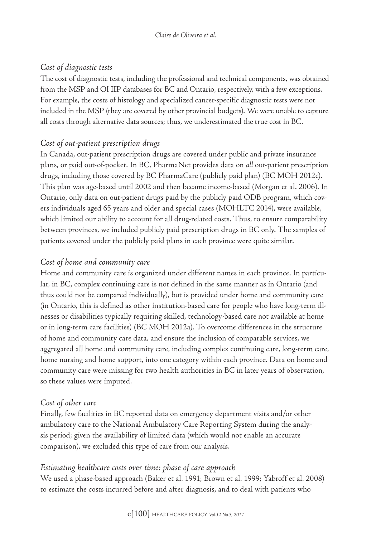# *Cost of diagnostic tests*

The cost of diagnostic tests, including the professional and technical components, was obtained from the MSP and OHIP databases for BC and Ontario, respectively, with a few exceptions. For example, the costs of histology and specialized cancer-specific diagnostic tests were not included in the MSP (they are covered by other provincial budgets). We were unable to capture all costs through alternative data sources; thus, we underestimated the true cost in BC.

# *Cost of out-patient prescription drugs*

In Canada, out-patient prescription drugs are covered under public and private insurance plans, or paid out-of-pocket. In BC, PharmaNet provides data on *all* out-patient prescription drugs, including those covered by BC PharmaCare (publicly paid plan) (BC MOH 2012c). This plan was age-based until 2002 and then became income-based (Morgan et al. 2006). In Ontario, only data on out-patient drugs paid by the publicly paid ODB program, which covers individuals aged 65 years and older and special cases (MOHLTC 2014), were available, which limited our ability to account for all drug-related costs. Thus, to ensure comparability between provinces, we included publicly paid prescription drugs in BC only. The samples of patients covered under the publicly paid plans in each province were quite similar.

# *Cost of home and community care*

Home and community care is organized under different names in each province. In particular, in BC, complex continuing care is not defined in the same manner as in Ontario (and thus could not be compared individually), but is provided under home and community care (in Ontario, this is defined as other institution-based care for people who have long-term illnesses or disabilities typically requiring skilled, technology-based care not available at home or in long-term care facilities) (BC MOH 2012a). To overcome differences in the structure of home and community care data, and ensure the inclusion of comparable services, we aggregated all home and community care, including complex continuing care, long-term care, home nursing and home support, into one category within each province. Data on home and community care were missing for two health authorities in BC in later years of observation, so these values were imputed.

# *Cost of other care*

Finally, few facilities in BC reported data on emergency department visits and/or other ambulatory care to the National Ambulatory Care Reporting System during the analysis period; given the availability of limited data (which would not enable an accurate comparison), we excluded this type of care from our analysis.

# *Estimating healthcare costs over time: phase of care approach*

We used a phase-based approach (Baker et al. 1991; Brown et al. 1999; Yabroff et al. 2008) to estimate the costs incurred before and after diagnosis, and to deal with patients who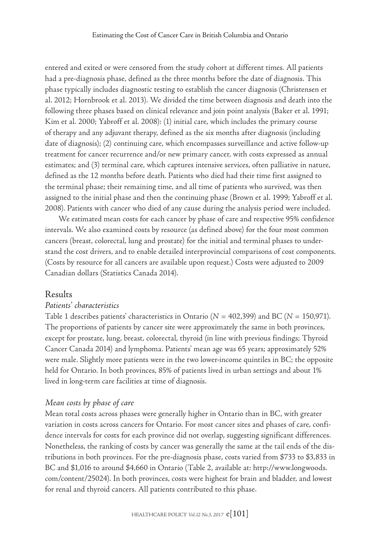entered and exited or were censored from the study cohort at different times. All patients had a pre-diagnosis phase, defined as the three months before the date of diagnosis. This phase typically includes diagnostic testing to establish the cancer diagnosis (Christensen et al. 2012; Hornbrook et al. 2013). We divided the time between diagnosis and death into the following three phases based on clinical relevance and join point analysis (Baker et al. 1991; Kim et al. 2000; Yabroff et al. 2008): (1) initial care, which includes the primary course of therapy and any adjuvant therapy, defined as the six months after diagnosis (including date of diagnosis); (2) continuing care, which encompasses surveillance and active follow-up treatment for cancer recurrence and/or new primary cancer, with costs expressed as annual estimates; and (3) terminal care, which captures intensive services, often palliative in nature, defined as the 12 months before death. Patients who died had their time first assigned to the terminal phase; their remaining time, and all time of patients who survived, was then assigned to the initial phase and then the continuing phase (Brown et al. 1999; Yabroff et al. 2008). Patients with cancer who died of any cause during the analysis period were included.

We estimated mean costs for each cancer by phase of care and respective 95% confidence intervals. We also examined costs by resource (as defined above) for the four most common cancers (breast, colorectal, lung and prostate) for the initial and terminal phases to understand the cost drivers, and to enable detailed interprovincial comparisons of cost components. (Costs by resource for all cancers are available upon request.) Costs were adjusted to 2009 Canadian dollars (Statistics Canada 2014).

#### Results

#### *Patients' characteristics*

Table 1 describes patients' characteristics in Ontario (*N* = 402,399) and BC (*N* = 150,971). The proportions of patients by cancer site were approximately the same in both provinces, except for prostate, lung, breast, colorectal, thyroid (in line with previous findings; Thyroid Cancer Canada 2014) and lymphoma. Patients' mean age was 65 years; approximately 52% were male. Slightly more patients were in the two lower-income quintiles in BC; the opposite held for Ontario. In both provinces, 85% of patients lived in urban settings and about 1% lived in long-term care facilities at time of diagnosis.

#### *Mean costs by phase of care*

Mean total costs across phases were generally higher in Ontario than in BC, with greater variation in costs across cancers for Ontario. For most cancer sites and phases of care, confidence intervals for costs for each province did not overlap, suggesting significant differences. Nonetheless, the ranking of costs by cancer was generally the same at the tail ends of the distributions in both provinces. For the pre-diagnosis phase, costs varied from \$733 to \$3,833 in BC and \$1,016 to around \$4,660 in Ontario (Table 2, available at: [http://www.longwoods.](http://www.longwoods.com/content/25024) [com/content/25024](http://www.longwoods.com/content/25024)). In both provinces, costs were highest for brain and bladder, and lowest for renal and thyroid cancers. All patients contributed to this phase.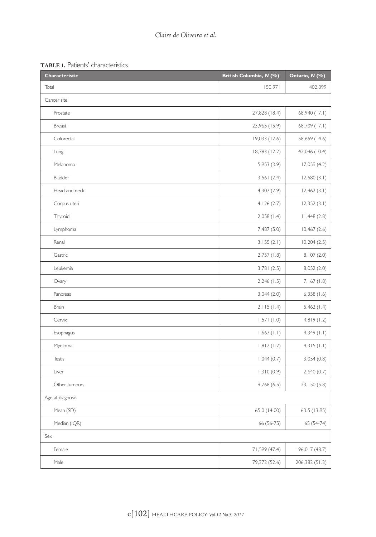| <b>TABLE 1.</b> Patients' characteristics |  |
|-------------------------------------------|--|
|-------------------------------------------|--|

| <b>Characteristic</b> | British Columbia, N (%) | Ontario, N (%) |
|-----------------------|-------------------------|----------------|
| Total                 | 150,971                 | 402,399        |
| Cancer site           |                         |                |
| Prostate              | 27,828 (18.4)           | 68,940 (17.1)  |
| <b>Breast</b>         | 23,965 (15.9)           | 68,709 (17.1)  |
| Colorectal            | 19,033 (12.6)           | 58,659 (14.6)  |
| Lung                  | 18,383 (12.2)           | 42,046 (10.4)  |
| Melanoma              | 5,953 (3.9)             | 17,059(4.2)    |
| Bladder               | 3,561(2.4)              | 12,580(3.1)    |
| Head and neck         | 4,307(2.9)              | 12,462(3.1)    |
| Corpus uteri          | 4,126(2.7)              | 12,352(3.1)    |
| Thyroid               | 2,058(1.4)              | 11,448(2.8)    |
| Lymphoma              | 7,487 (5.0)             | 10,467(2.6)    |
| Renal                 | 3,155(2.1)              | 10,204(2.5)    |
| Gastric               | 2,757(1.8)              | 8,107 (2.0)    |
| Leukemia              | 3,781(2.5)              | 8,052 (2.0)    |
| Ovary                 | 2,246(1.5)              | 7,167(1.8)     |
| Pancreas              | 3,044(2.0)              | 6,358(1.6)     |
| Brain                 | 2,115(1.4)              | 5,462(1.4)     |
| Cervix                | 1,571(1.0)              | 4,819(1.2)     |
| Esophagus             | 1,667(1.1)              | 4,349(1.1)     |
| Myeloma               | 1,812(1.2)              | 4,315(1.1)     |
| <b>Testis</b>         | 1,044(0.7)              | 3,054(0.8)     |
| Liver                 | 1,310(0.9)              | 2,640(0.7)     |
| Other tumours         | 9,768 (6.5)             | 23,150 (5.8)   |
| Age at diagnosis      |                         |                |
| Mean (SD)             | 65.0 (14.00)            | 63.5 (13.95)   |
| Median (IQR)          | 66 (56-75)              | 65 (54-74)     |
| Sex                   |                         |                |
| Female                | 71,599 (47.4)           | 196,017 (48.7) |
| Male                  | 79,372 (52.6)           | 206,382 (51.3) |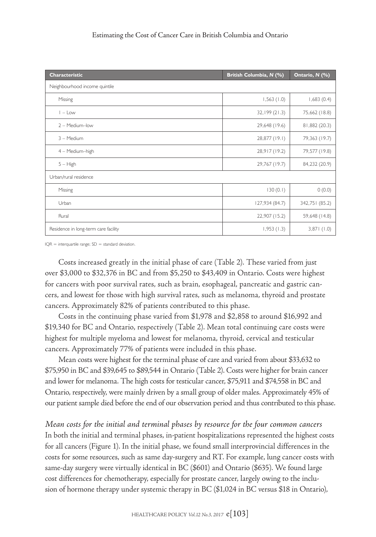| <b>Characteristic</b>                | British Columbia, N (%) | Ontario, N (%) |
|--------------------------------------|-------------------------|----------------|
| Neighbourhood income quintile        |                         |                |
| Missing                              | 1,563(1.0)              | 1,683(0.4)     |
| $I - Low$                            | 32, 199 (21.3)          | 75,662 (18.8)  |
| 2 - Medium-low                       | 29,648 (19.6)           | 81,882 (20.3)  |
| 3 - Medium                           | 28,877 (19.1)           | 79,363 (19.7)  |
| 4 - Medium-high                      | 28,917 (19.2)           | 79,577 (19.8)  |
| $5 - High$                           | 29,767 (19.7)           | 84,232 (20.9)  |
| Urban/rural residence                |                         |                |
| Missing                              | 130(0.1)                | 0(0.0)         |
| Urban                                | 127,934 (84.7)          | 342,751 (85.2) |
| Rural                                | 22,907 (15.2)           | 59,648 (14.8)  |
| Residence in long-term care facility | 1,953(1.3)              | 3,871(1.0)     |

 $IQR =$  interquartile range;  $SD =$  standard deviation.

Costs increased greatly in the initial phase of care (Table 2). These varied from just over \$3,000 to \$32,376 in BC and from \$5,250 to \$43,409 in Ontario. Costs were highest for cancers with poor survival rates, such as brain, esophageal, pancreatic and gastric cancers, and lowest for those with high survival rates, such as melanoma, thyroid and prostate cancers. Approximately 82% of patients contributed to this phase.

Costs in the continuing phase varied from \$1,978 and \$2,858 to around \$16,992 and \$19,340 for BC and Ontario, respectively (Table 2). Mean total continuing care costs were highest for multiple myeloma and lowest for melanoma, thyroid, cervical and testicular cancers. Approximately 77% of patients were included in this phase.

Mean costs were highest for the terminal phase of care and varied from about \$33,632 to \$75,950 in BC and \$39,645 to \$89,544 in Ontario (Table 2). Costs were higher for brain cancer and lower for melanoma. The high costs for testicular cancer, \$75,911 and \$74,558 in BC and Ontario, respectively, were mainly driven by a small group of older males. Approximately 45% of our patient sample died before the end of our observation period and thus contributed to this phase.

*Mean costs for the initial and terminal phases by resource for the four common cancers*  In both the initial and terminal phases, in-patient hospitalizations represented the highest costs for all cancers (Figure 1). In the initial phase, we found small interprovincial differences in the costs for some resources, such as same day-surgery and RT. For example, lung cancer costs with same-day surgery were virtually identical in BC (\$601) and Ontario (\$635). We found large cost differences for chemotherapy, especially for prostate cancer, largely owing to the inclusion of hormone therapy under systemic therapy in BC (\$1,024 in BC versus \$18 in Ontario),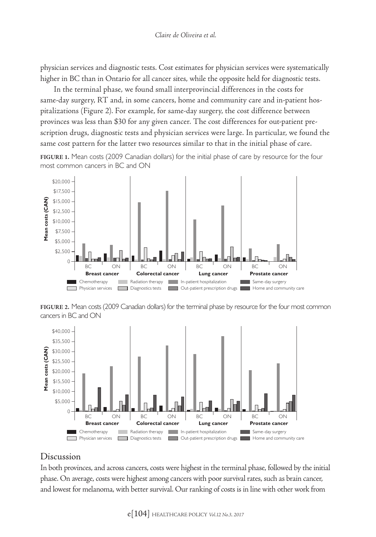physician services and diagnostic tests. Cost estimates for physician services were systematically higher in BC than in Ontario for all cancer sites, while the opposite held for diagnostic tests.

In the terminal phase, we found small interprovincial differences in the costs for same-day surgery, RT and, in some cancers, home and community care and in-patient hospitalizations (Figure 2). For example, for same-day surgery, the cost difference between provinces was less than \$30 for any given cancer. The cost differences for out-patient prescription drugs, diagnostic tests and physician services were large. In particular, we found the same cost pattern for the latter two resources similar to that in the initial phase of care.

**FIGURE 1.** Mean costs (2009 Canadian dollars) for the initial phase of care by resource for the four most common cancers in BC and ON



**FIGURE 2.** Mean costs (2009 Canadian dollars) for the terminal phase by resource for the four most common cancers in BC and ON



## Discussion

In both provinces, and across cancers, costs were highest in the terminal phase, followed by the initial phase. On average, costs were highest among cancers with poor survival rates, such as brain cancer, and lowest for melanoma, with better survival. Our ranking of costs is in line with other work from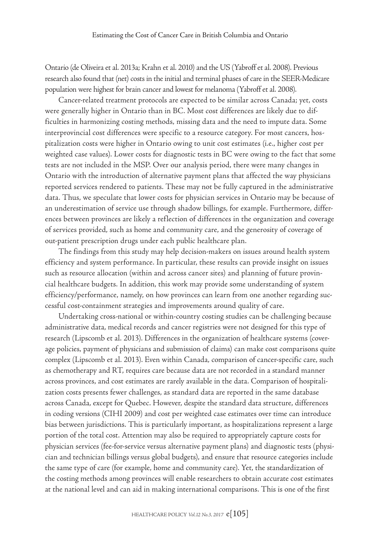Ontario (de Oliveira et al. 2013a; Krahn et al. 2010) and the US (Yabroff et al. 2008). Previous research also found that (net) costs in the initial and terminal phases of care in the SEER-Medicare population were highest for brain cancer and lowest for melanoma (Yabroff et al. 2008).

Cancer-related treatment protocols are expected to be similar across Canada; yet, costs were generally higher in Ontario than in BC. Most cost differences are likely due to difficulties in harmonizing costing methods, missing data and the need to impute data. Some interprovincial cost differences were specific to a resource category. For most cancers, hospitalization costs were higher in Ontario owing to unit cost estimates (i.e., higher cost per weighted case values). Lower costs for diagnostic tests in BC were owing to the fact that some tests are not included in the MSP. Over our analysis period, there were many changes in Ontario with the introduction of alternative payment plans that affected the way physicians reported services rendered to patients. These may not be fully captured in the administrative data. Thus, we speculate that lower costs for physician services in Ontario may be because of an underestimation of service use through shadow billings, for example. Furthermore, differences between provinces are likely a reflection of differences in the organization and coverage of services provided, such as home and community care, and the generosity of coverage of out-patient prescription drugs under each public healthcare plan.

The findings from this study may help decision-makers on issues around health system efficiency and system performance. In particular, these results can provide insight on issues such as resource allocation (within and across cancer sites) and planning of future provincial healthcare budgets. In addition, this work may provide some understanding of system efficiency/performance, namely, on how provinces can learn from one another regarding successful cost-containment strategies and improvements around quality of care.

Undertaking cross-national or within-country costing studies can be challenging because administrative data, medical records and cancer registries were not designed for this type of research (Lipscomb et al. 2013). Differences in the organization of healthcare systems (coverage policies, payment of physicians and submission of claims) can make cost comparisons quite complex (Lipscomb et al. 2013). Even within Canada, comparison of cancer-specific care, such as chemotherapy and RT, requires care because data are not recorded in a standard manner across provinces, and cost estimates are rarely available in the data. Comparison of hospitalization costs presents fewer challenges, as standard data are reported in the same database across Canada, except for Quebec. However, despite the standard data structure, differences in coding versions (CIHI 2009) and cost per weighted case estimates over time can introduce bias between jurisdictions. This is particularly important, as hospitalizations represent a large portion of the total cost. Attention may also be required to appropriately capture costs for physician services (fee-for-service versus alternative payment plans) and diagnostic tests (physician and technician billings versus global budgets), and ensure that resource categories include the same type of care (for example, home and community care). Yet, the standardization of the costing methods among provinces will enable researchers to obtain accurate cost estimates at the national level and can aid in making international comparisons. This is one of the first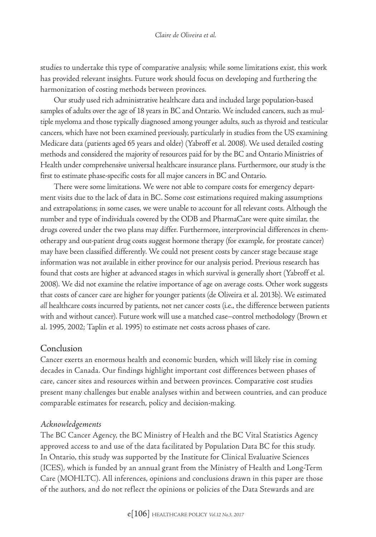studies to undertake this type of comparative analysis; while some limitations exist, this work has provided relevant insights. Future work should focus on developing and furthering the harmonization of costing methods between provinces.

Our study used rich administrative healthcare data and included large population-based samples of adults over the age of 18 years in BC and Ontario. We included cancers, such as multiple myeloma and those typically diagnosed among younger adults, such as thyroid and testicular cancers, which have not been examined previously, particularly in studies from the US examining Medicare data (patients aged 65 years and older) (Yabroff et al. 2008). We used detailed costing methods and considered the majority of resources paid for by the BC and Ontario Ministries of Health under comprehensive universal healthcare insurance plans. Furthermore, our study is the first to estimate phase-specific costs for all major cancers in BC and Ontario.

There were some limitations. We were not able to compare costs for emergency department visits due to the lack of data in BC. Some cost estimations required making assumptions and extrapolations; in some cases, we were unable to account for all relevant costs. Although the number and type of individuals covered by the ODB and PharmaCare were quite similar, the drugs covered under the two plans may differ. Furthermore, interprovincial differences in chemotherapy and out-patient drug costs suggest hormone therapy (for example, for prostate cancer) may have been classified differently. We could not present costs by cancer stage because stage information was not available in either province for our analysis period. Previous research has found that costs are higher at advanced stages in which survival is generally short (Yabroff et al. 2008). We did not examine the relative importance of age on average costs. Other work suggests that costs of cancer care are higher for younger patients (de Oliveira et al. 2013b). We estimated *all* healthcare costs incurred by patients, not net cancer costs (i.e., the difference between patients with and without cancer). Future work will use a matched case–control methodology (Brown et al. 1995, 2002; Taplin et al. 1995) to estimate net costs across phases of care.

## Conclusion

Cancer exerts an enormous health and economic burden, which will likely rise in coming decades in Canada. Our findings highlight important cost differences between phases of care, cancer sites and resources within and between provinces. Comparative cost studies present many challenges but enable analyses within and between countries, and can produce comparable estimates for research, policy and decision-making.

#### *Acknowledgements*

The BC Cancer Agency, the BC Ministry of Health and the BC Vital Statistics Agency approved access to and use of the data facilitated by Population Data BC for this study. In Ontario, this study was supported by the Institute for Clinical Evaluative Sciences (ICES), which is funded by an annual grant from the Ministry of Health and Long-Term Care (MOHLTC). All inferences, opinions and conclusions drawn in this paper are those of the authors, and do not reflect the opinions or policies of the Data Stewards and are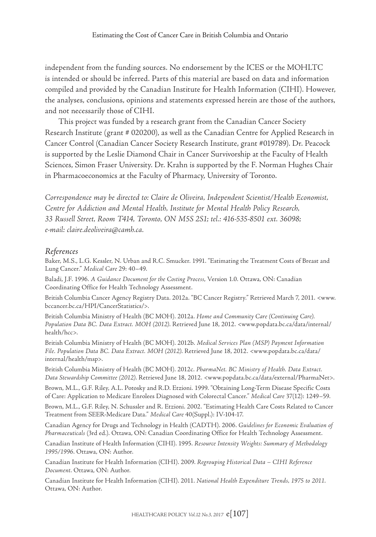independent from the funding sources. No endorsement by the ICES or the MOHLTC is intended or should be inferred. Parts of this material are based on data and information compiled and provided by the Canadian Institute for Health Information (CIHI). However, the analyses, conclusions, opinions and statements expressed herein are those of the authors, and not necessarily those of CIHI.

This project was funded by a research grant from the Canadian Cancer Society Research Institute (grant # 020200), as well as the Canadian Centre for Applied Research in Cancer Control (Canadian Cancer Society Research Institute, grant #019789). Dr. Peacock is supported by the Leslie Diamond Chair in Cancer Survivorship at the Faculty of Health Sciences, Simon Fraser University. Dr. Krahn is supported by the F. Norman Hughes Chair in Pharmacoeconomics at the Faculty of Pharmacy, University of Toronto.

*Correspondence may be directed to: Claire de Oliveira, Independent Scientist/Health Economist, Centre for Addiction and Mental Health, Institute for Mental Health Policy Research, 33 Russell Street, Room T414, Toronto, ON M5S 2S1; tel.: 416-535-8501 ext. 36098; e-mail: [claire.deoliveira@camh.ca](mailto:claire.deoliveira@camh.ca).*

#### *References*

Baker, M.S., L.G. Kessler, N. Urban and R.C. Smucker. 1991. "Estimating the Treatment Costs of Breast and Lung Cancer." *Medical Care* 29: 40–49.

Baladi, J.F. 1996. *A Guidance Document for the Costing Process*, Version 1.0. Ottawa, ON: Canadian Coordinating Office for Health Technology Assessment.

British Columbia Cancer Agency Registry Data. 2012a. "BC Cancer Registry." Retrieved March 7, 2011. [<www.](http://www.bccancer.bc.ca/HPI/CancerStatistics/) [bccancer.bc.ca/HPI/CancerStatistics/>](http://www.bccancer.bc.ca/HPI/CancerStatistics/).

British Columbia Ministry of Health (BC MOH). 2012a. *Home and Community Care (Continuing Care). Population Data BC. Data Extract. MOH (2012)*. Retrieved June 18, 2012. [<](http://www.popdata.bc.ca/data)[www.popdata.bc.ca/data/internal/](www.popdata.bc.ca/data/internal/health/hcc) [health/hcc](www.popdata.bc.ca/data/internal/health/hcc)>.

British Columbia Ministry of Health (BC MOH). 2012b. *Medical Services Plan (MSP) Payment Information File. Population Data BC. Data Extract. MOH (2012)*. Retrieved June 18, 2012. [<](http://www.popdata.bc.ca/data)[www.popdata.bc.ca/data/](www.popdata.bc.ca/data/internal/health/msp) [internal/health/msp>](www.popdata.bc.ca/data/internal/health/msp).

British Columbia Ministry of Health (BC MOH). 2012c. *PharmaNet. BC Ministry of Health. Data Extract. Data Stewardship Committee (2012)*. Retrieved June 18, 2012. [<](http://www.popdata.bc.ca/data)<www.popdata.bc.ca/data/external/PharmaNet>>.

Brown, M.L., G.F. Riley, A.L. Potosky and R.D. Etzioni. 1999. "Obtaining Long-Term Disease Specific Costs of Care: Application to Medicare Enrolees Diagnosed with Colorectal Cancer." *Medical Care* 37(12): 1249–59.

Brown, M.L., G.F. Riley, N. Schussler and R. Etzioni. 2002. "Estimating Health Care Costs Related to Cancer Treatment from SEER-Medicare Data." *Medical Care* 40(Suppl.): IV-104-17.

Canadian Agency for Drugs and Technology in Health (CADTH). 2006. *Guidelines for Economic Evaluation of Pharmaceuticals* (3rd ed.). Ottawa, ON: Canadian Coordinating Office for Health Technology Assessment.

Canadian Institute of Health Information (CIHI). 1995. *Resource Intensity Weights: Summary of Methodology 1995/1996*. Ottawa, ON: Author.

Canadian Institute for Health Information (CIHI). 2009. *Regrouping Historical Data – CIHI Reference Document*. Ottawa, ON: Author.

Canadian Institute for Health Information (CIHI). 2011. *National Health Expenditure Trends, 1975 to 2011*. Ottawa, ON: Author.